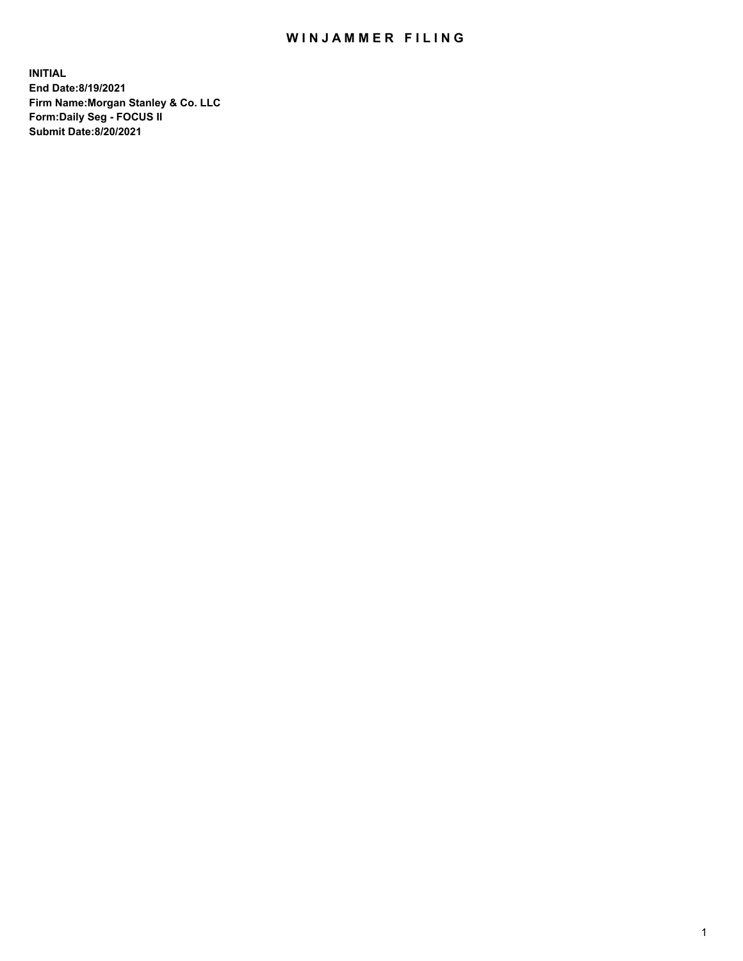## WIN JAMMER FILING

**INITIAL End Date:8/19/2021 Firm Name:Morgan Stanley & Co. LLC Form:Daily Seg - FOCUS II Submit Date:8/20/2021**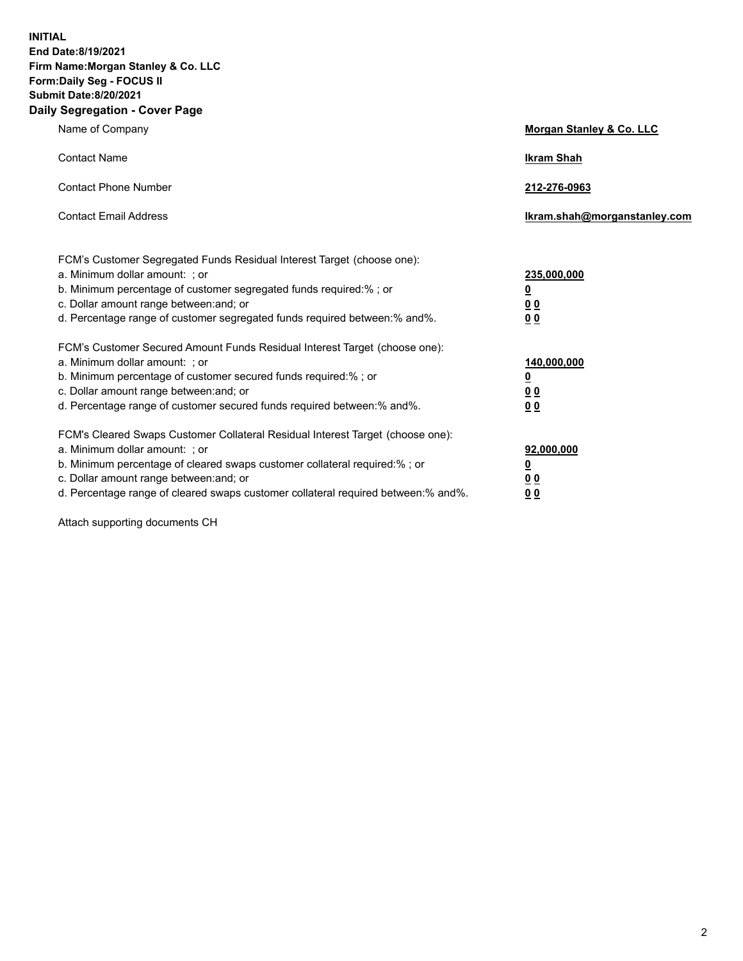**INITIAL End Date:8/19/2021 Firm Name:Morgan Stanley & Co. LLC Form:Daily Seg - FOCUS II Submit Date:8/20/2021 Daily Segregation - Cover Page**

| Name of Company                                                                                                                                                                                                                                                                                                                | <b>Morgan Stanley &amp; Co. LLC</b>                    |
|--------------------------------------------------------------------------------------------------------------------------------------------------------------------------------------------------------------------------------------------------------------------------------------------------------------------------------|--------------------------------------------------------|
| <b>Contact Name</b>                                                                                                                                                                                                                                                                                                            | <b>Ikram Shah</b>                                      |
| <b>Contact Phone Number</b>                                                                                                                                                                                                                                                                                                    | 212-276-0963                                           |
| <b>Contact Email Address</b>                                                                                                                                                                                                                                                                                                   | Ikram.shah@morganstanley.com                           |
| FCM's Customer Segregated Funds Residual Interest Target (choose one):<br>a. Minimum dollar amount: : or<br>b. Minimum percentage of customer segregated funds required:%; or<br>c. Dollar amount range between: and; or<br>d. Percentage range of customer segregated funds required between:% and%.                          | 235,000,000<br><u>0</u><br><u>00</u><br><u>00</u>      |
| FCM's Customer Secured Amount Funds Residual Interest Target (choose one):<br>a. Minimum dollar amount: ; or<br>b. Minimum percentage of customer secured funds required:%; or<br>c. Dollar amount range between: and; or<br>d. Percentage range of customer secured funds required between:% and%.                            | 140,000,000<br><u>0</u><br><u>00</u><br>0 <sub>0</sub> |
| FCM's Cleared Swaps Customer Collateral Residual Interest Target (choose one):<br>a. Minimum dollar amount: ; or<br>b. Minimum percentage of cleared swaps customer collateral required:% ; or<br>c. Dollar amount range between: and; or<br>d. Percentage range of cleared swaps customer collateral required between:% and%. | 92,000,000<br><u>0</u><br><u>00</u><br>00              |

Attach supporting documents CH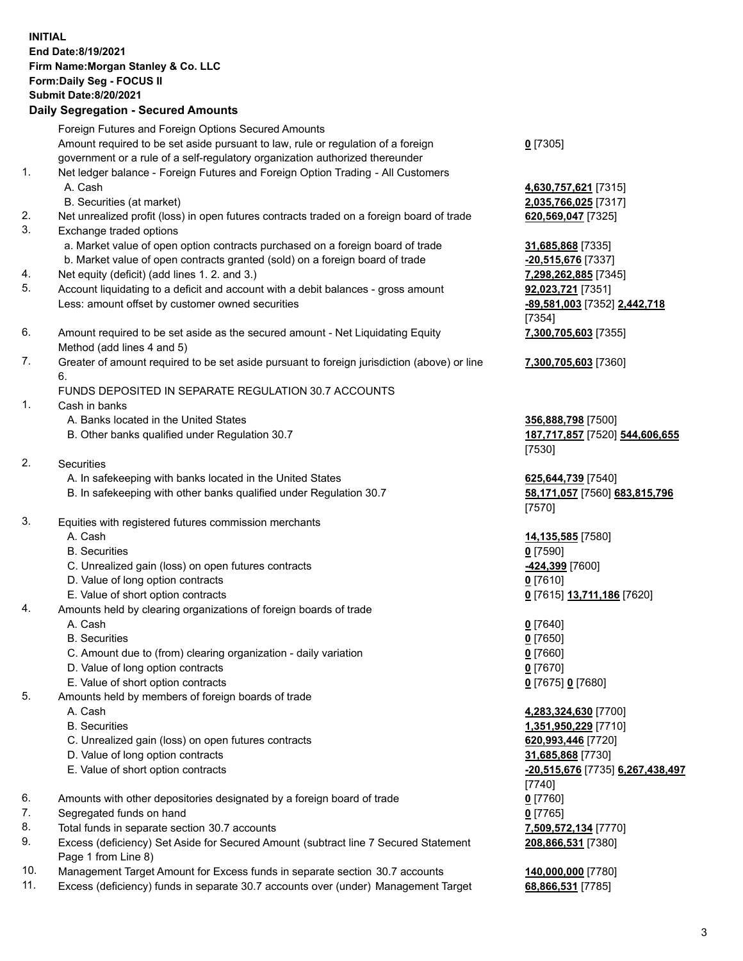## **INITIAL End Date:8/19/2021 Firm Name:Morgan Stanley & Co. LLC Form:Daily Seg - FOCUS II Submit Date:8/20/2021**

## **Daily Segregation - Secured Amounts**

Foreign Futures and Foreign Options Secured Amounts Amount required to be set aside pursuant to law, rule or regulation of a foreign government or a rule of a self-regulatory organization authorized thereunder

- 1. Net ledger balance Foreign Futures and Foreign Option Trading All Customers A. Cash **4,630,757,621** [7315]
	- B. Securities (at market) **2,035,766,025** [7317]
- 2. Net unrealized profit (loss) in open futures contracts traded on a foreign board of trade **620,569,047** [7325]
- 3. Exchange traded options
	- a. Market value of open option contracts purchased on a foreign board of trade **31,685,868** [7335]
	- b. Market value of open contracts granted (sold) on a foreign board of trade **-20,515,676** [7337]
- 4. Net equity (deficit) (add lines 1. 2. and 3.) **7,298,262,885** [7345]
- 5. Account liquidating to a deficit and account with a debit balances gross amount **92,023,721** [7351] Less: amount offset by customer owned securities **-89,581,003** [7352] **2,442,718**
- 6. Amount required to be set aside as the secured amount Net Liquidating Equity Method (add lines 4 and 5)
- 7. Greater of amount required to be set aside pursuant to foreign jurisdiction (above) or line 6.

## FUNDS DEPOSITED IN SEPARATE REGULATION 30.7 ACCOUNTS

- 1. Cash in banks
	- A. Banks located in the United States **356,888,798** [7500]
	- B. Other banks qualified under Regulation 30.7 **187,717,857** [7520] **544,606,655**
- 2. Securities
	- A. In safekeeping with banks located in the United States **625,644,739** [7540]
	- B. In safekeeping with other banks qualified under Regulation 30.7 **58,171,057** [7560] **683,815,796**
- 3. Equities with registered futures commission merchants
	-
	- B. Securities **0** [7590]
	- C. Unrealized gain (loss) on open futures contracts **-424,399** [7600]
	- D. Value of long option contracts **0** [7610]
	- E. Value of short option contracts **0** [7615] **13,711,186** [7620]
- 4. Amounts held by clearing organizations of foreign boards of trade
	- A. Cash **0** [7640]
	- B. Securities **0** [7650]
	- C. Amount due to (from) clearing organization daily variation **0** [7660]
	- D. Value of long option contracts **0** [7670]
	- E. Value of short option contracts **0** [7675] **0** [7680]
- 5. Amounts held by members of foreign boards of trade
	-
	-
	- C. Unrealized gain (loss) on open futures contracts **620,993,446** [7720]
	- D. Value of long option contracts **31,685,868** [7730]
	- E. Value of short option contracts **-20,515,676** [7735] **6,267,438,497**
- 6. Amounts with other depositories designated by a foreign board of trade **0** [7760]
- 7. Segregated funds on hand **0** [7765]
- 8. Total funds in separate section 30.7 accounts **7,509,572,134** [7770]
- 9. Excess (deficiency) Set Aside for Secured Amount (subtract line 7 Secured Statement Page 1 from Line 8)
- 10. Management Target Amount for Excess funds in separate section 30.7 accounts **140,000,000** [7780]
- 11. Excess (deficiency) funds in separate 30.7 accounts over (under) Management Target **68,866,531** [7785]

**0** [7305]

[7354] **7,300,705,603** [7355]

**7,300,705,603** [7360]

[7530]

[7570]

A. Cash **14,135,585** [7580]

 A. Cash **4,283,324,630** [7700] B. Securities **1,351,950,229** [7710] [7740] **208,866,531** [7380]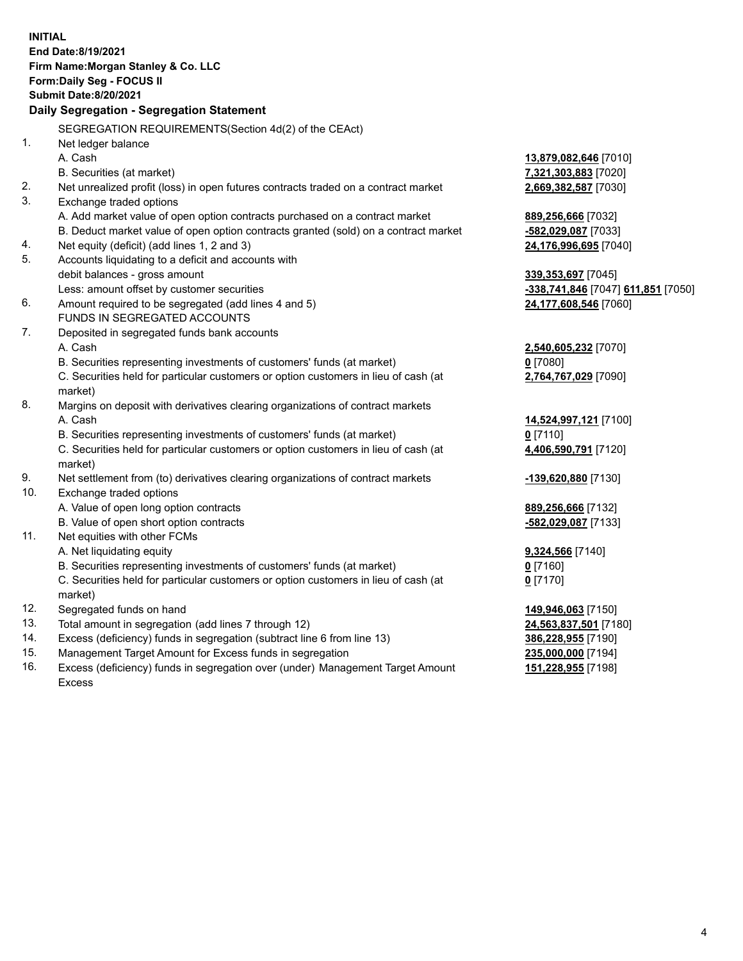**INITIAL End Date:8/19/2021 Firm Name:Morgan Stanley & Co. LLC Form:Daily Seg - FOCUS II Submit Date:8/20/2021 Daily Segregation - Segregation Statement** SEGREGATION REQUIREMENTS(Section 4d(2) of the CEAct) 1. Net ledger balance A. Cash **13,879,082,646** [7010] B. Securities (at market) **7,321,303,883** [7020] 2. Net unrealized profit (loss) in open futures contracts traded on a contract market **2,669,382,587** [7030] 3. Exchange traded options A. Add market value of open option contracts purchased on a contract market **889,256,666** [7032] B. Deduct market value of open option contracts granted (sold) on a contract market **-582,029,087** [7033] 4. Net equity (deficit) (add lines 1, 2 and 3) **24,176,996,695** [7040] 5. Accounts liquidating to a deficit and accounts with debit balances - gross amount **339,353,697** [7045] Less: amount offset by customer securities **-338,741,846** [7047] **611,851** [7050] 6. Amount required to be segregated (add lines 4 and 5) **24,177,608,546** [7060] FUNDS IN SEGREGATED ACCOUNTS 7. Deposited in segregated funds bank accounts A. Cash **2,540,605,232** [7070] B. Securities representing investments of customers' funds (at market) **0** [7080] C. Securities held for particular customers or option customers in lieu of cash (at market) **2,764,767,029** [7090] 8. Margins on deposit with derivatives clearing organizations of contract markets A. Cash **14,524,997,121** [7100] B. Securities representing investments of customers' funds (at market) **0** [7110] C. Securities held for particular customers or option customers in lieu of cash (at market) **4,406,590,791** [7120] 9. Net settlement from (to) derivatives clearing organizations of contract markets **-139,620,880** [7130] 10. Exchange traded options A. Value of open long option contracts **889,256,666** [7132] B. Value of open short option contracts **-582,029,087** [7133] 11. Net equities with other FCMs A. Net liquidating equity **9,324,566** [7140] B. Securities representing investments of customers' funds (at market) **0** [7160] C. Securities held for particular customers or option customers in lieu of cash (at market) **0** [7170] 12. Segregated funds on hand **149,946,063** [7150] 13. Total amount in segregation (add lines 7 through 12) **24,563,837,501** [7180] 14. Excess (deficiency) funds in segregation (subtract line 6 from line 13) **386,228,955** [7190] 15. Management Target Amount for Excess funds in segregation **235,000,000** [7194] 16. Excess (deficiency) funds in segregation over (under) Management Target Amount **151,228,955** [7198]

Excess